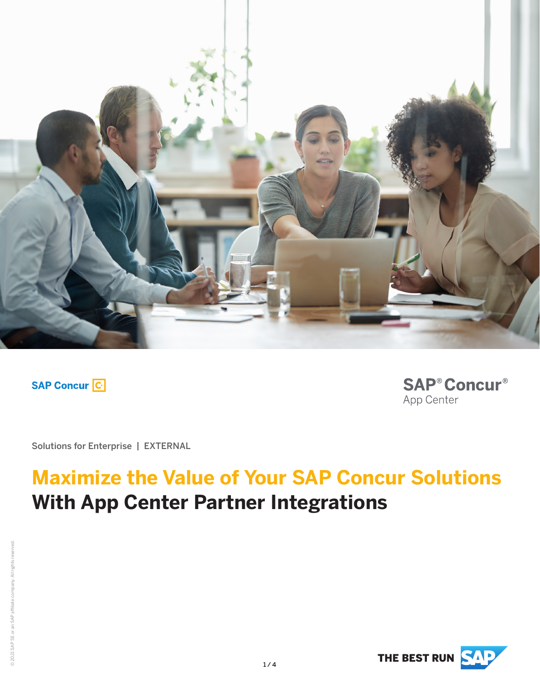

**SAP Concur C** 

**SAP® Concur®** App Center

Solutions for Enterprise | EXTERNAL

# **Maximize the Value of Your SAP Concur Solutions With App Center Partner Integrations**

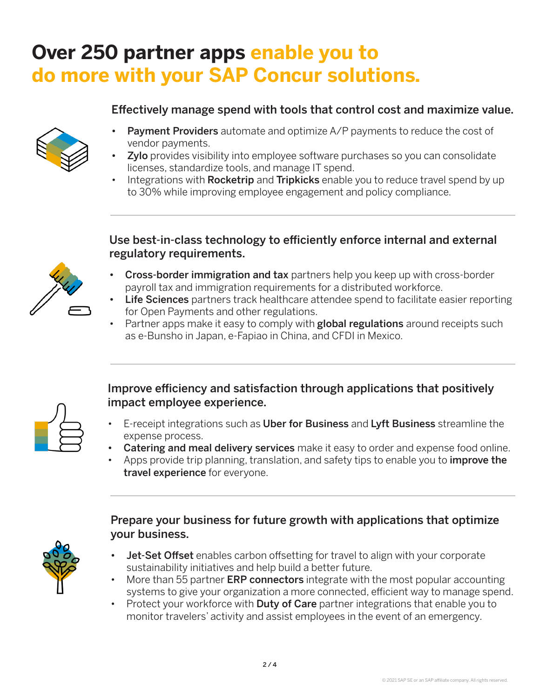### **Over 250 partner apps enable you to do more with your SAP Concur solutions.**

### Effectively manage spend with tools that control cost and maximize value.



- Payment Providers automate and optimize A/P payments to reduce the cost of vendor payments.
- **Zylo** provides visibility into employee software purchases so you can consolidate licenses, standardize tools, and manage IT spend.
- Integrations with **Rocketrip** and **Tripkicks** enable you to reduce travel spend by up to 30% while improving employee engagement and policy compliance.

#### Use best-in-class technology to efficiently enforce internal and external regulatory requirements.



- Cross-border immigration and tax partners help you keep up with cross-border payroll tax and immigration requirements for a distributed workforce.
- Life Sciences partners track healthcare attendee spend to facilitate easier reporting for Open Payments and other regulations.
- Partner apps make it easy to comply with global regulations around receipts such as e-Bunsho in Japan, e-Fapiao in China, and CFDI in Mexico.

### Improve efficiency and satisfaction through applications that positively impact employee experience.

- E-receipt integrations such as Uber for Business and Lyft Business streamline the expense process.
- **Catering and meal delivery services** make it easy to order and expense food online.
- Apps provide trip planning, translation, and safety tips to enable you to *improve the* travel experience for everyone.

#### Prepare your business for future growth with applications that optimize your business.

- Jet-Set Offset enables carbon offsetting for travel to align with your corporate sustainability initiatives and help build a better future.
- More than 55 partner **ERP connectors** integrate with the most popular accounting systems to give your organization a more connected, efficient way to manage spend.
- Protect your workforce with **Duty of Care** partner integrations that enable you to monitor travelers' activity and assist employees in the event of an emergency.

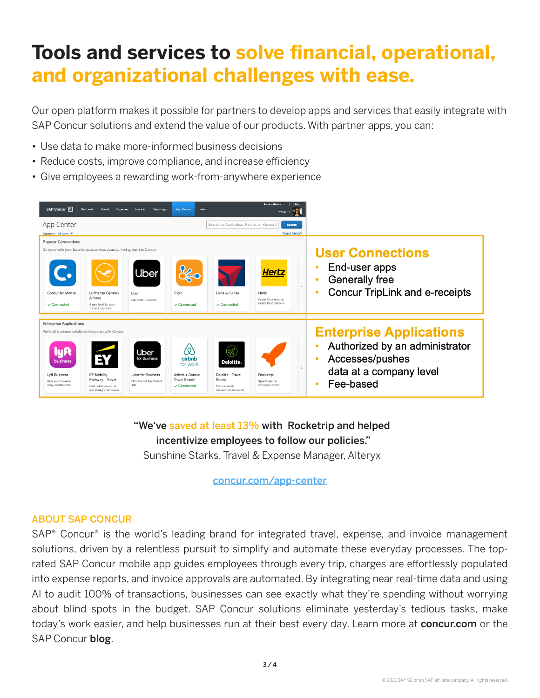# **Tools and services to solve financial, operational, and organizational challenges with ease.**

Our open platform makes it possible for partners to develop apps and services that easily integrate with SAP Concur solutions and extend the value of our products. With partner apps, you can:

- Use data to make more-informed business decisions
- Reduce costs, improve compliance, and increase efficiency
- Give employees a rewarding work-from-anywhere experience



"We've saved at least 13% with Rocketrip and helped incentivize employees to follow our policies." Sunshine Starks, Travel & Expense Manager, Alteryx

concur.com/app-center

#### ABOUT SAP CONCUR

SAP<sup>®</sup> Concur® is the world's leading brand for integrated travel, expense, and invoice management solutions, driven by a relentless pursuit to simplify and automate these everyday processes. The toprated SAP Concur mobile app guides employees through every trip, charges are effortlessly populated into expense reports, and invoice approvals are automated. By integrating near real-time data and using AI to audit 100% of transactions, businesses can see exactly what they're spending without worrying about blind spots in the budget. SAP Concur solutions eliminate yesterday's tedious tasks, make today's work easier, and help businesses run at their best every day. Learn more at concur.com or the SAP Concur blog.